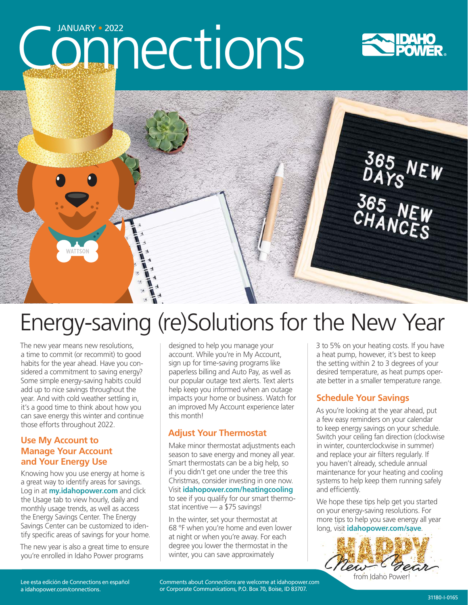# Connections





## Energy-saving (re)Solutions for the New Year

The new year means new resolutions, a time to commit (or recommit) to good habits for the year ahead. Have you considered a commitment to saving energy? Some simple energy-saving habits could add up to nice savings throughout the year. And with cold weather settling in, it's a good time to think about how you can save energy this winter and continue those efforts throughout 2022.

#### **Use My Account to Manage Your Account and Your Energy Use**

Knowing how you use energy at home is a great way to identify areas for savings. Log in at **my.idahopower.com** and click the Usage tab to view hourly, daily and monthly usage trends, as well as access the Energy Savings Center. The Energy Savings Center can be customized to identify specific areas of savings for your home.

The new year is also a great time to ensure you're enrolled in Idaho Power programs

designed to help you manage your account. While you're in My Account, sign up for time-saving programs like paperless billing and Auto Pay, as well as our popular outage text alerts. Text alerts help keep you informed when an outage impacts your home or business. Watch for an improved My Account experience later this month!

#### **Adjust Your Thermostat**

Make minor thermostat adjustments each season to save energy and money all year. Smart thermostats can be a big help, so if you didn't get one under the tree this Christmas, consider investing in one now. Visit **idahopower.com/heatingcooling** to see if you qualify for our smart thermostat incentive — a \$75 savings!

In the winter, set your thermostat at 68 °F when you're home and even lower at night or when you're away. For each degree you lower the thermostat in the winter, you can save approximately

3 to 5% on your heating costs. If you have a heat pump, however, it's best to keep the setting within 2 to 3 degrees of your desired temperature, as heat pumps operate better in a smaller temperature range.

#### **Schedule Your Savings**

As you're looking at the year ahead, put a few easy reminders on your calendar to keep energy savings on your schedule. Switch your ceiling fan direction (clockwise in winter, counterclockwise in summer) and replace your air filters regularly. If you haven't already, schedule annual maintenance for your heating and cooling systems to help keep them running safely and efficiently.

We hope these tips help get you started on your energy-saving resolutions. For more tips to help you save energy all year long, visit **idahopower.com/save**.



from Idaho Power!

Lee esta edición de Connections en español a [idahopower.com/connections.](mailto:https://www.idahopower.com/news/category/connections/?subject=)

Comments about Connections are welcome at [idahopower.com](https://www.idahopower.com/) or Corporate Communications, P.O. Box 70, Boise, ID 83707.